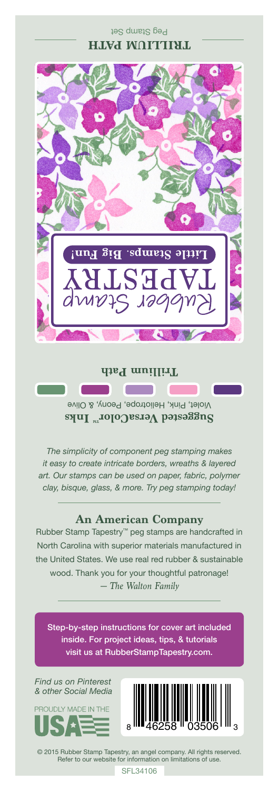#### Peg Stamp Set **TRILLIUM PATH**



## **Trillium Path The Company**

Violet, Pink, Heliotrope, Peony, & Olive **Suggested VersaColor** Inks

*The simplicity of component peg stamping makes it easy to create intricate borders, wreaths & layered art. Our stamps can be used on paper, fabric, polymer clay, bisque, glass, & more. Try peg stamping today!*

### **An American Company**

*— The Walton Family* Rubber Stamp Tapestry™ peg stamps are handcrafted in North Carolina with superior materials manufactured in the United States. We use real red rubber & sustainable wood. Thank you for your thoughtful patronage!

Step-by-step instructions for cover art included inside. For project ideas, tips, & tutorials visit us at RubberStampTapestry.com.

*Find us on Pinterest & other Social Media*





© 2015 Rubber Stamp Tapestry, an angel company. All rights reserved. Refer to our website for information on limitations of use.